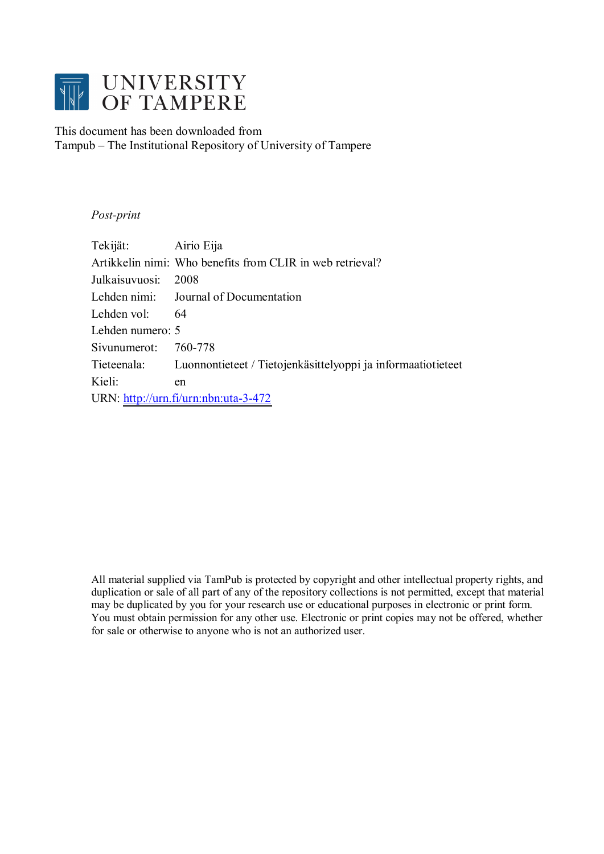

This document has been downloaded from Tampub – The Institutional Repository of University of Tampere

## *Post-print*

| Tekijät: Airio Eija  |                                                                          |
|----------------------|--------------------------------------------------------------------------|
|                      | Artikkelin nimi: Who benefits from CLIR in web retrieval?                |
| Julkaisuvuosi: 2008  |                                                                          |
|                      | Lehden nimi: Journal of Documentation                                    |
| Lehden vol: 64       |                                                                          |
| Lehden numero: 5     |                                                                          |
| Sivunumerot: 760-778 |                                                                          |
|                      | Tieteenala: Luonnontieteet / Tietojenkäsittelyoppi ja informaatiotieteet |
| Kieli:               | en                                                                       |
|                      | URN: http://urn.fi/urn.nbn.uta-3-472                                     |

All material supplied via TamPub is protected by copyright and other intellectual property rights, and duplication or sale of all part of any of the repository collections is not permitted, except that material may be duplicated by you for your research use or educational purposes in electronic or print form. You must obtain permission for any other use. Electronic or print copies may not be offered, whether for sale or otherwise to anyone who is not an authorized user.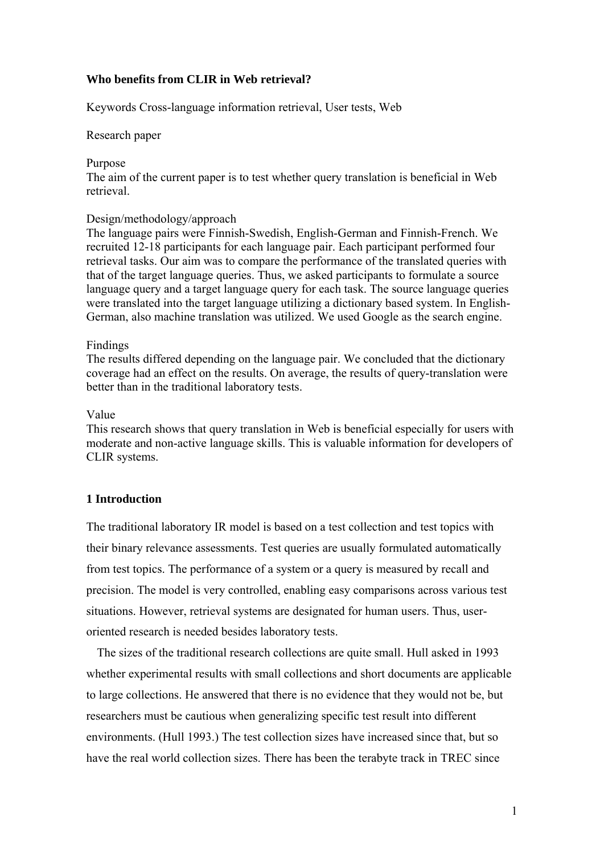## **Who benefits from CLIR in Web retrieval?**

Keywords Cross-language information retrieval, User tests, Web

#### Research paper

## Purpose

The aim of the current paper is to test whether query translation is beneficial in Web retrieval.

#### Design/methodology/approach

The language pairs were Finnish-Swedish, English-German and Finnish-French. We recruited 12-18 participants for each language pair. Each participant performed four retrieval tasks. Our aim was to compare the performance of the translated queries with that of the target language queries. Thus, we asked participants to formulate a source language query and a target language query for each task. The source language queries were translated into the target language utilizing a dictionary based system. In English-German, also machine translation was utilized. We used Google as the search engine.

#### Findings

The results differed depending on the language pair. We concluded that the dictionary coverage had an effect on the results. On average, the results of query-translation were better than in the traditional laboratory tests.

#### Value

This research shows that query translation in Web is beneficial especially for users with moderate and non-active language skills. This is valuable information for developers of CLIR systems.

## **1 Introduction**

The traditional laboratory IR model is based on a test collection and test topics with their binary relevance assessments. Test queries are usually formulated automatically from test topics. The performance of a system or a query is measured by recall and precision. The model is very controlled, enabling easy comparisons across various test situations. However, retrieval systems are designated for human users. Thus, useroriented research is needed besides laboratory tests.

The sizes of the traditional research collections are quite small. Hull asked in 1993 whether experimental results with small collections and short documents are applicable to large collections. He answered that there is no evidence that they would not be, but researchers must be cautious when generalizing specific test result into different environments. (Hull 1993.) The test collection sizes have increased since that, but so have the real world collection sizes. There has been the terabyte track in TREC since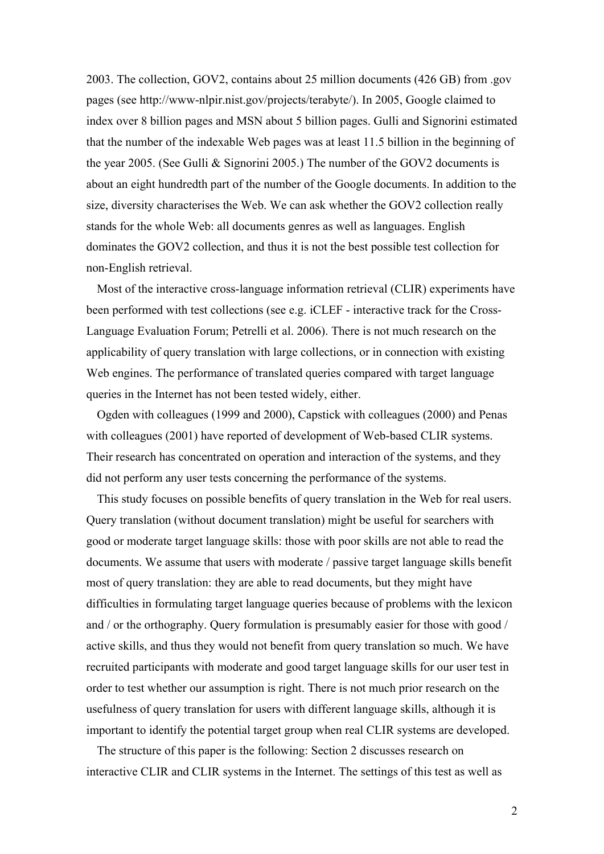2003. The collection, GOV2, contains about 25 million documents (426 GB) from .gov pages (see http://www-nlpir.nist.gov/projects/terabyte/). In 2005, Google claimed to index over 8 billion pages and MSN about 5 billion pages. Gulli and Signorini estimated that the number of the indexable Web pages was at least 11.5 billion in the beginning of the year 2005. (See Gulli & Signorini 2005.) The number of the GOV2 documents is about an eight hundredth part of the number of the Google documents. In addition to the size, diversity characterises the Web. We can ask whether the GOV2 collection really stands for the whole Web: all documents genres as well as languages. English dominates the GOV2 collection, and thus it is not the best possible test collection for non-English retrieval.

Most of the interactive cross-language information retrieval (CLIR) experiments have been performed with test collections (see e.g. iCLEF - interactive track for the Cross-Language Evaluation Forum; Petrelli et al. 2006). There is not much research on the applicability of query translation with large collections, or in connection with existing Web engines. The performance of translated queries compared with target language queries in the Internet has not been tested widely, either.

Ogden with colleagues (1999 and 2000), Capstick with colleagues (2000) and Penas with colleagues (2001) have reported of development of Web-based CLIR systems. Their research has concentrated on operation and interaction of the systems, and they did not perform any user tests concerning the performance of the systems.

This study focuses on possible benefits of query translation in the Web for real users. Query translation (without document translation) might be useful for searchers with good or moderate target language skills: those with poor skills are not able to read the documents. We assume that users with moderate / passive target language skills benefit most of query translation: they are able to read documents, but they might have difficulties in formulating target language queries because of problems with the lexicon and / or the orthography. Query formulation is presumably easier for those with good / active skills, and thus they would not benefit from query translation so much. We have recruited participants with moderate and good target language skills for our user test in order to test whether our assumption is right. There is not much prior research on the usefulness of query translation for users with different language skills, although it is important to identify the potential target group when real CLIR systems are developed.

The structure of this paper is the following: Section 2 discusses research on interactive CLIR and CLIR systems in the Internet. The settings of this test as well as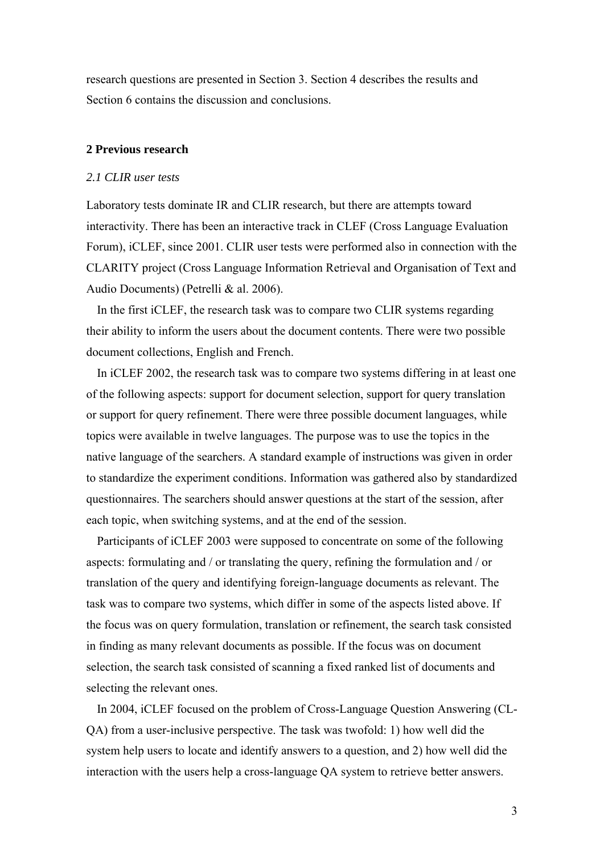research questions are presented in Section 3. Section 4 describes the results and Section 6 contains the discussion and conclusions.

### **2 Previous research**

#### *2.1 CLIR user tests*

Laboratory tests dominate IR and CLIR research, but there are attempts toward interactivity. There has been an interactive track in CLEF (Cross Language Evaluation Forum), iCLEF, since 2001. CLIR user tests were performed also in connection with the CLARITY project (Cross Language Information Retrieval and Organisation of Text and Audio Documents) (Petrelli & al. 2006).

In the first iCLEF, the research task was to compare two CLIR systems regarding their ability to inform the users about the document contents. There were two possible document collections, English and French.

In iCLEF 2002, the research task was to compare two systems differing in at least one of the following aspects: support for document selection, support for query translation or support for query refinement. There were three possible document languages, while topics were available in twelve languages. The purpose was to use the topics in the native language of the searchers. A standard example of instructions was given in order to standardize the experiment conditions. Information was gathered also by standardized questionnaires. The searchers should answer questions at the start of the session, after each topic, when switching systems, and at the end of the session.

Participants of iCLEF 2003 were supposed to concentrate on some of the following aspects: formulating and / or translating the query, refining the formulation and / or translation of the query and identifying foreign-language documents as relevant. The task was to compare two systems, which differ in some of the aspects listed above. If the focus was on query formulation, translation or refinement, the search task consisted in finding as many relevant documents as possible. If the focus was on document selection, the search task consisted of scanning a fixed ranked list of documents and selecting the relevant ones.

In 2004, iCLEF focused on the problem of Cross-Language Question Answering (CL-QA) from a user-inclusive perspective. The task was twofold: 1) how well did the system help users to locate and identify answers to a question, and 2) how well did the interaction with the users help a cross-language QA system to retrieve better answers.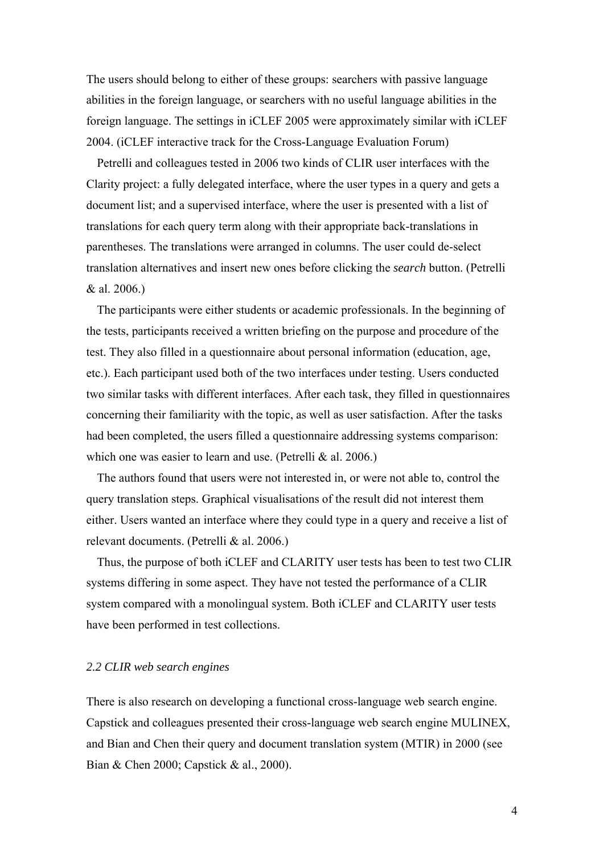The users should belong to either of these groups: searchers with passive language abilities in the foreign language, or searchers with no useful language abilities in the foreign language. The settings in iCLEF 2005 were approximately similar with iCLEF 2004. (iCLEF interactive track for the Cross-Language Evaluation Forum)

Petrelli and colleagues tested in 2006 two kinds of CLIR user interfaces with the Clarity project: a fully delegated interface, where the user types in a query and gets a document list; and a supervised interface, where the user is presented with a list of translations for each query term along with their appropriate back-translations in parentheses. The translations were arranged in columns. The user could de-select translation alternatives and insert new ones before clicking the *search* button. (Petrelli & al. 2006.)

The participants were either students or academic professionals. In the beginning of the tests, participants received a written briefing on the purpose and procedure of the test. They also filled in a questionnaire about personal information (education, age, etc.). Each participant used both of the two interfaces under testing. Users conducted two similar tasks with different interfaces. After each task, they filled in questionnaires concerning their familiarity with the topic, as well as user satisfaction. After the tasks had been completed, the users filled a questionnaire addressing systems comparison: which one was easier to learn and use. (Petrelli  $&$  al. 2006.)

The authors found that users were not interested in, or were not able to, control the query translation steps. Graphical visualisations of the result did not interest them either. Users wanted an interface where they could type in a query and receive a list of relevant documents. (Petrelli & al. 2006.)

Thus, the purpose of both iCLEF and CLARITY user tests has been to test two CLIR systems differing in some aspect. They have not tested the performance of a CLIR system compared with a monolingual system. Both iCLEF and CLARITY user tests have been performed in test collections.

## *2.2 CLIR web search engines*

There is also research on developing a functional cross-language web search engine. Capstick and colleagues presented their cross-language web search engine MULINEX, and Bian and Chen their query and document translation system (MTIR) in 2000 (see Bian & Chen 2000; Capstick & al., 2000).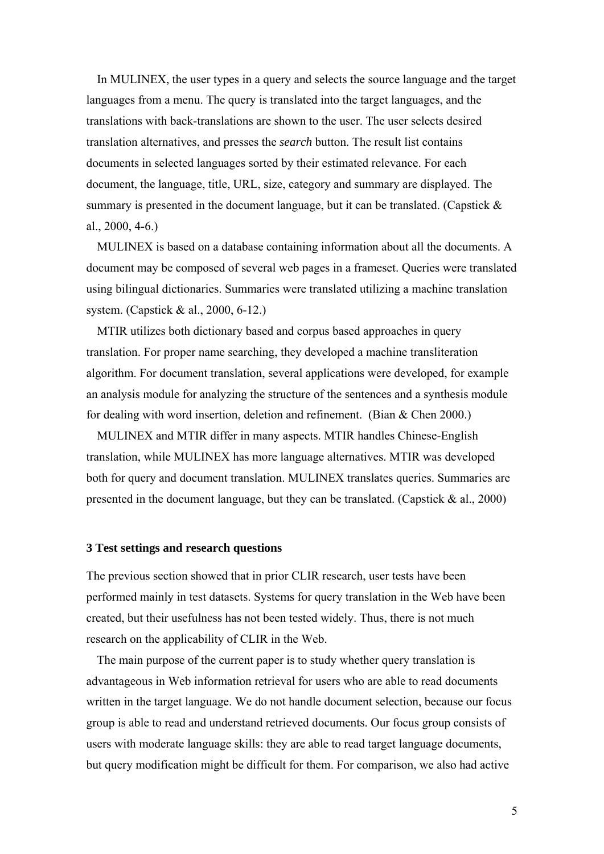In MULINEX, the user types in a query and selects the source language and the target languages from a menu. The query is translated into the target languages, and the translations with back-translations are shown to the user. The user selects desired translation alternatives, and presses the *search* button. The result list contains documents in selected languages sorted by their estimated relevance. For each document, the language, title, URL, size, category and summary are displayed. The summary is presented in the document language, but it can be translated. (Capstick  $\&$ al., 2000, 4-6.)

MULINEX is based on a database containing information about all the documents. A document may be composed of several web pages in a frameset. Queries were translated using bilingual dictionaries. Summaries were translated utilizing a machine translation system. (Capstick & al., 2000, 6-12.)

MTIR utilizes both dictionary based and corpus based approaches in query translation. For proper name searching, they developed a machine transliteration algorithm. For document translation, several applications were developed, for example an analysis module for analyzing the structure of the sentences and a synthesis module for dealing with word insertion, deletion and refinement. (Bian & Chen 2000.)

MULINEX and MTIR differ in many aspects. MTIR handles Chinese-English translation, while MULINEX has more language alternatives. MTIR was developed both for query and document translation. MULINEX translates queries. Summaries are presented in the document language, but they can be translated. (Capstick  $\&$  al., 2000)

#### **3 Test settings and research questions**

The previous section showed that in prior CLIR research, user tests have been performed mainly in test datasets. Systems for query translation in the Web have been created, but their usefulness has not been tested widely. Thus, there is not much research on the applicability of CLIR in the Web.

The main purpose of the current paper is to study whether query translation is advantageous in Web information retrieval for users who are able to read documents written in the target language. We do not handle document selection, because our focus group is able to read and understand retrieved documents. Our focus group consists of users with moderate language skills: they are able to read target language documents, but query modification might be difficult for them. For comparison, we also had active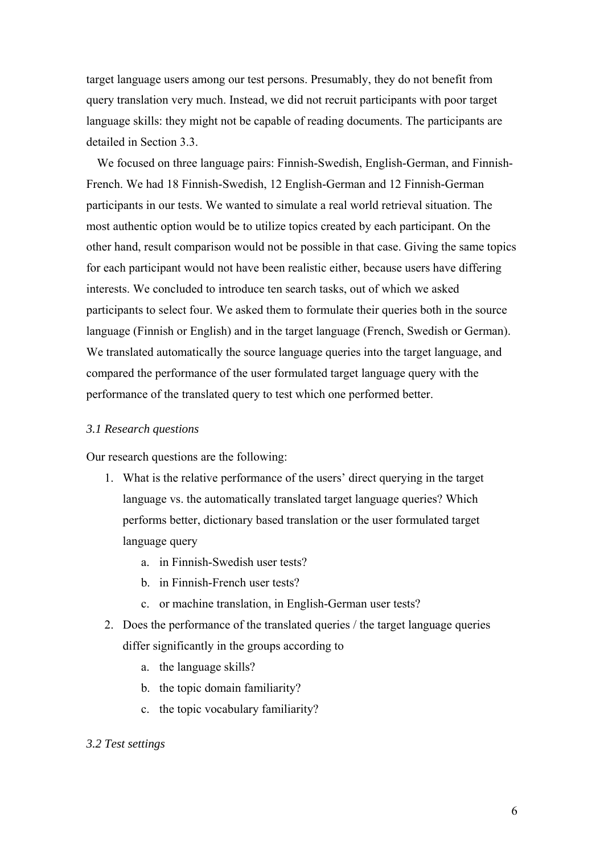target language users among our test persons. Presumably, they do not benefit from query translation very much. Instead, we did not recruit participants with poor target language skills: they might not be capable of reading documents. The participants are detailed in Section 3.3.

We focused on three language pairs: Finnish-Swedish, English-German, and Finnish-French. We had 18 Finnish-Swedish, 12 English-German and 12 Finnish-German participants in our tests. We wanted to simulate a real world retrieval situation. The most authentic option would be to utilize topics created by each participant. On the other hand, result comparison would not be possible in that case. Giving the same topics for each participant would not have been realistic either, because users have differing interests. We concluded to introduce ten search tasks, out of which we asked participants to select four. We asked them to formulate their queries both in the source language (Finnish or English) and in the target language (French, Swedish or German). We translated automatically the source language queries into the target language, and compared the performance of the user formulated target language query with the performance of the translated query to test which one performed better.

## *3.1 Research questions*

Our research questions are the following:

- 1. What is the relative performance of the users' direct querying in the target language vs. the automatically translated target language queries? Which performs better, dictionary based translation or the user formulated target language query
	- a. in Finnish-Swedish user tests?
	- b. in Finnish-French user tests?
	- c. or machine translation, in English-German user tests?
- 2. Does the performance of the translated queries / the target language queries differ significantly in the groups according to
	- a. the language skills?
	- b. the topic domain familiarity?
	- c. the topic vocabulary familiarity?

## *3.2 Test settings*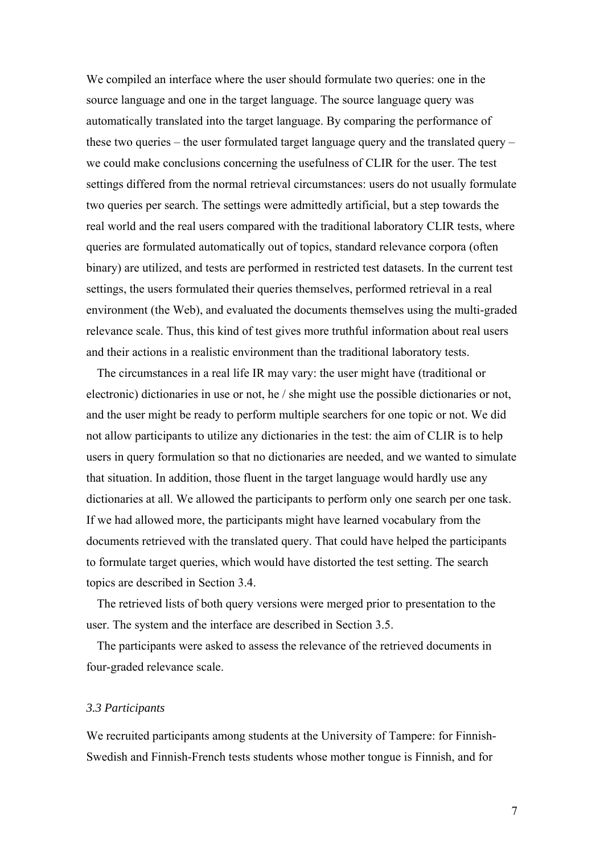We compiled an interface where the user should formulate two queries: one in the source language and one in the target language. The source language query was automatically translated into the target language. By comparing the performance of these two queries – the user formulated target language query and the translated query – we could make conclusions concerning the usefulness of CLIR for the user. The test settings differed from the normal retrieval circumstances: users do not usually formulate two queries per search. The settings were admittedly artificial, but a step towards the real world and the real users compared with the traditional laboratory CLIR tests, where queries are formulated automatically out of topics, standard relevance corpora (often binary) are utilized, and tests are performed in restricted test datasets. In the current test settings, the users formulated their queries themselves, performed retrieval in a real environment (the Web), and evaluated the documents themselves using the multi-graded relevance scale. Thus, this kind of test gives more truthful information about real users and their actions in a realistic environment than the traditional laboratory tests.

The circumstances in a real life IR may vary: the user might have (traditional or electronic) dictionaries in use or not, he / she might use the possible dictionaries or not, and the user might be ready to perform multiple searchers for one topic or not. We did not allow participants to utilize any dictionaries in the test: the aim of CLIR is to help users in query formulation so that no dictionaries are needed, and we wanted to simulate that situation. In addition, those fluent in the target language would hardly use any dictionaries at all. We allowed the participants to perform only one search per one task. If we had allowed more, the participants might have learned vocabulary from the documents retrieved with the translated query. That could have helped the participants to formulate target queries, which would have distorted the test setting. The search topics are described in Section 3.4.

The retrieved lists of both query versions were merged prior to presentation to the user. The system and the interface are described in Section 3.5.

The participants were asked to assess the relevance of the retrieved documents in four-graded relevance scale.

## *3.3 Participants*

We recruited participants among students at the University of Tampere: for Finnish-Swedish and Finnish-French tests students whose mother tongue is Finnish, and for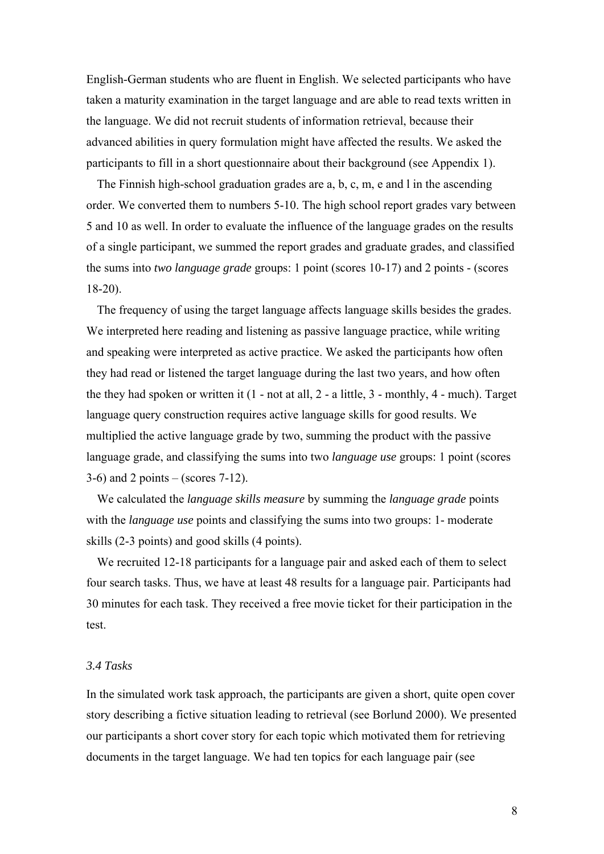English-German students who are fluent in English. We selected participants who have taken a maturity examination in the target language and are able to read texts written in the language. We did not recruit students of information retrieval, because their advanced abilities in query formulation might have affected the results. We asked the participants to fill in a short questionnaire about their background (see Appendix 1).

The Finnish high-school graduation grades are a, b, c, m, e and l in the ascending order. We converted them to numbers 5-10. The high school report grades vary between 5 and 10 as well. In order to evaluate the influence of the language grades on the results of a single participant, we summed the report grades and graduate grades, and classified the sums into *two language grade* groups: 1 point (scores 10-17) and 2 points - (scores 18-20).

The frequency of using the target language affects language skills besides the grades. We interpreted here reading and listening as passive language practice, while writing and speaking were interpreted as active practice. We asked the participants how often they had read or listened the target language during the last two years, and how often the they had spoken or written it (1 - not at all, 2 - a little, 3 - monthly, 4 - much). Target language query construction requires active language skills for good results. We multiplied the active language grade by two, summing the product with the passive language grade, and classifying the sums into two *language use* groups: 1 point (scores 3-6) and 2 points – (scores 7-12).

We calculated the *language skills measure* by summing the *language grade* points with the *language use* points and classifying the sums into two groups: 1- moderate skills (2-3 points) and good skills (4 points).

We recruited 12-18 participants for a language pair and asked each of them to select four search tasks. Thus, we have at least 48 results for a language pair. Participants had 30 minutes for each task. They received a free movie ticket for their participation in the test.

## *3.4 Tasks*

In the simulated work task approach, the participants are given a short, quite open cover story describing a fictive situation leading to retrieval (see Borlund 2000). We presented our participants a short cover story for each topic which motivated them for retrieving documents in the target language. We had ten topics for each language pair (see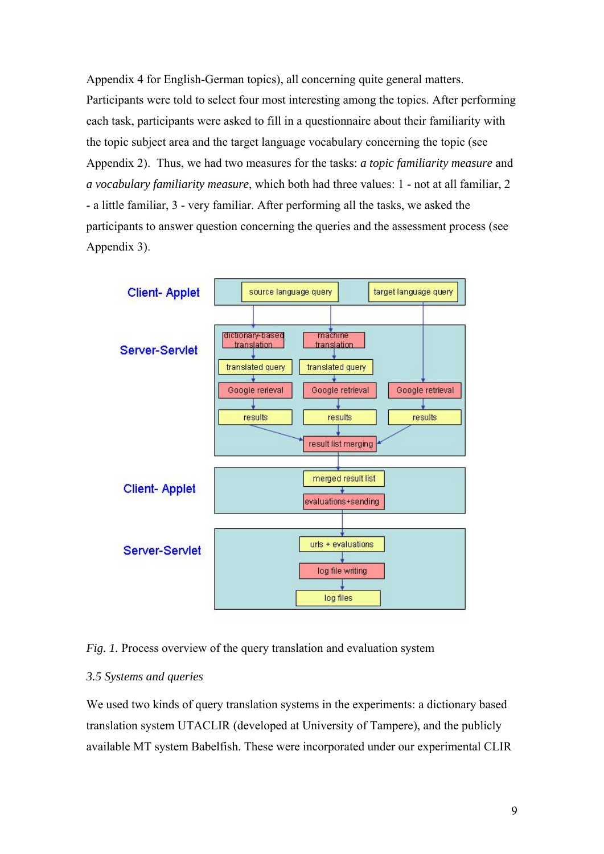Appendix 4 for English-German topics), all concerning quite general matters. Participants were told to select four most interesting among the topics. After performing each task, participants were asked to fill in a questionnaire about their familiarity with the topic subject area and the target language vocabulary concerning the topic (see Appendix 2). Thus, we had two measures for the tasks: *a topic familiarity measure* and *a vocabulary familiarity measure*, which both had three values: 1 - not at all familiar, 2 - a little familiar, 3 - very familiar. After performing all the tasks, we asked the participants to answer question concerning the queries and the assessment process (see Appendix 3).



*Fig. 1.* Process overview of the query translation and evaluation system

# *3.5 Systems and queries*

We used two kinds of query translation systems in the experiments: a dictionary based translation system UTACLIR (developed at University of Tampere), and the publicly available MT system Babelfish. These were incorporated under our experimental CLIR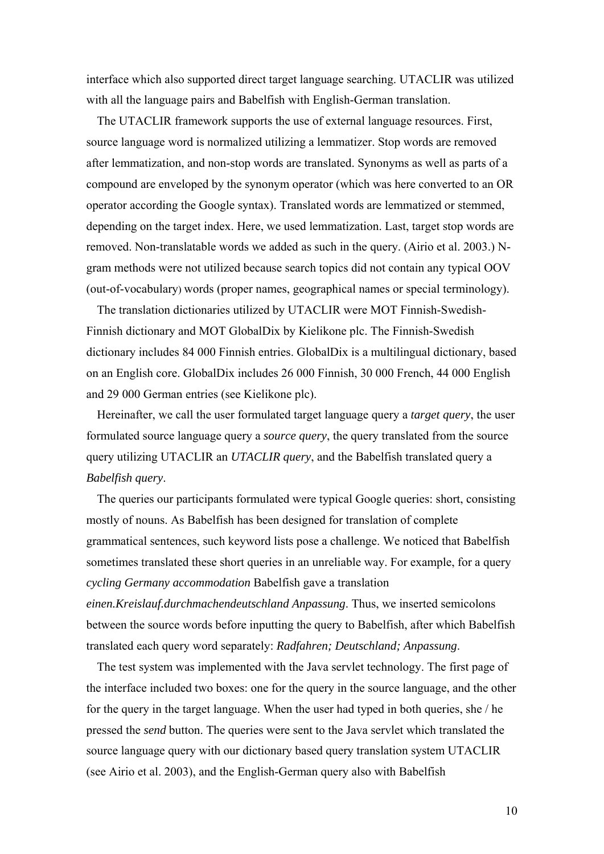interface which also supported direct target language searching. UTACLIR was utilized with all the language pairs and Babelfish with English-German translation.

The UTACLIR framework supports the use of external language resources. First, source language word is normalized utilizing a lemmatizer. Stop words are removed after lemmatization, and non-stop words are translated. Synonyms as well as parts of a compound are enveloped by the synonym operator (which was here converted to an OR operator according the Google syntax). Translated words are lemmatized or stemmed, depending on the target index. Here, we used lemmatization. Last, target stop words are removed. Non-translatable words we added as such in the query. (Airio et al. 2003.) Ngram methods were not utilized because search topics did not contain any typical OOV (out-of-vocabulary) words (proper names, geographical names or special terminology).

The translation dictionaries utilized by UTACLIR were MOT Finnish-Swedish-Finnish dictionary and MOT GlobalDix by Kielikone plc. The Finnish-Swedish dictionary includes 84 000 Finnish entries. GlobalDix is a multilingual dictionary, based on an English core. GlobalDix includes 26 000 Finnish, 30 000 French, 44 000 English and 29 000 German entries (see Kielikone plc).

Hereinafter, we call the user formulated target language query a *target query*, the user formulated source language query a *source query*, the query translated from the source query utilizing UTACLIR an *UTACLIR query*, and the Babelfish translated query a *Babelfish query*.

The queries our participants formulated were typical Google queries: short, consisting mostly of nouns. As Babelfish has been designed for translation of complete grammatical sentences, such keyword lists pose a challenge. We noticed that Babelfish sometimes translated these short queries in an unreliable way. For example, for a query *cycling Germany accommodation* Babelfish gave a translation *einen.Kreislauf.durchmachendeutschland Anpassung*. Thus, we inserted semicolons between the source words before inputting the query to Babelfish, after which Babelfish translated each query word separately: *Radfahren; Deutschland; Anpassung*.

The test system was implemented with the Java servlet technology. The first page of the interface included two boxes: one for the query in the source language, and the other for the query in the target language. When the user had typed in both queries, she / he pressed the *send* button. The queries were sent to the Java servlet which translated the source language query with our dictionary based query translation system UTACLIR (see Airio et al. 2003), and the English-German query also with Babelfish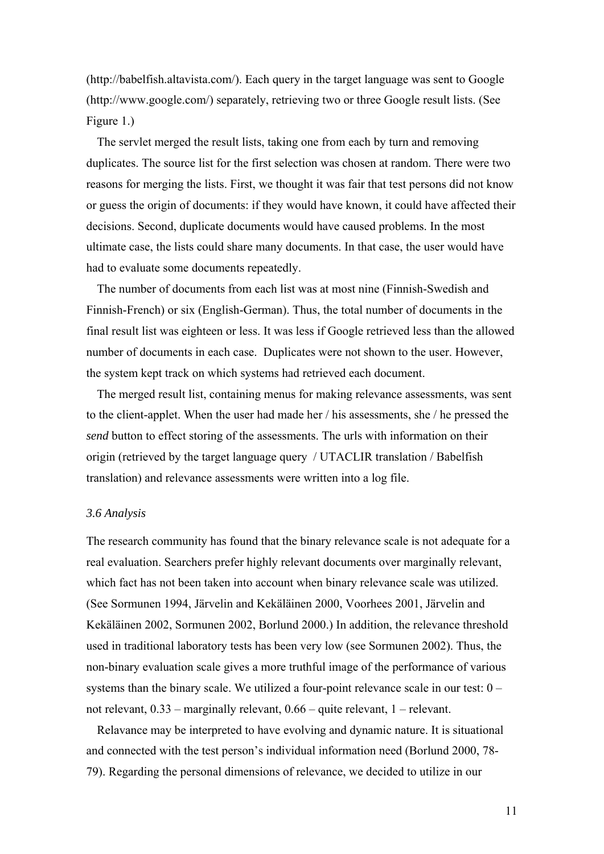(http://babelfish.altavista.com/). Each query in the target language was sent to Google (http://www.google.com/) separately, retrieving two or three Google result lists. (See Figure 1.)

The servlet merged the result lists, taking one from each by turn and removing duplicates. The source list for the first selection was chosen at random. There were two reasons for merging the lists. First, we thought it was fair that test persons did not know or guess the origin of documents: if they would have known, it could have affected their decisions. Second, duplicate documents would have caused problems. In the most ultimate case, the lists could share many documents. In that case, the user would have had to evaluate some documents repeatedly.

The number of documents from each list was at most nine (Finnish-Swedish and Finnish-French) or six (English-German). Thus, the total number of documents in the final result list was eighteen or less. It was less if Google retrieved less than the allowed number of documents in each case. Duplicates were not shown to the user. However, the system kept track on which systems had retrieved each document.

The merged result list, containing menus for making relevance assessments, was sent to the client-applet. When the user had made her / his assessments, she / he pressed the *send* button to effect storing of the assessments. The urls with information on their origin (retrieved by the target language query / UTACLIR translation / Babelfish translation) and relevance assessments were written into a log file.

#### *3.6 Analysis*

The research community has found that the binary relevance scale is not adequate for a real evaluation. Searchers prefer highly relevant documents over marginally relevant, which fact has not been taken into account when binary relevance scale was utilized. (See Sormunen 1994, Järvelin and Kekäläinen 2000, Voorhees 2001, Järvelin and Kekäläinen 2002, Sormunen 2002, Borlund 2000.) In addition, the relevance threshold used in traditional laboratory tests has been very low (see Sormunen 2002). Thus, the non-binary evaluation scale gives a more truthful image of the performance of various systems than the binary scale. We utilized a four-point relevance scale in our test: 0 – not relevant, 0.33 – marginally relevant, 0.66 – quite relevant, 1 – relevant.

Relavance may be interpreted to have evolving and dynamic nature. It is situational and connected with the test person's individual information need (Borlund 2000, 78- 79). Regarding the personal dimensions of relevance, we decided to utilize in our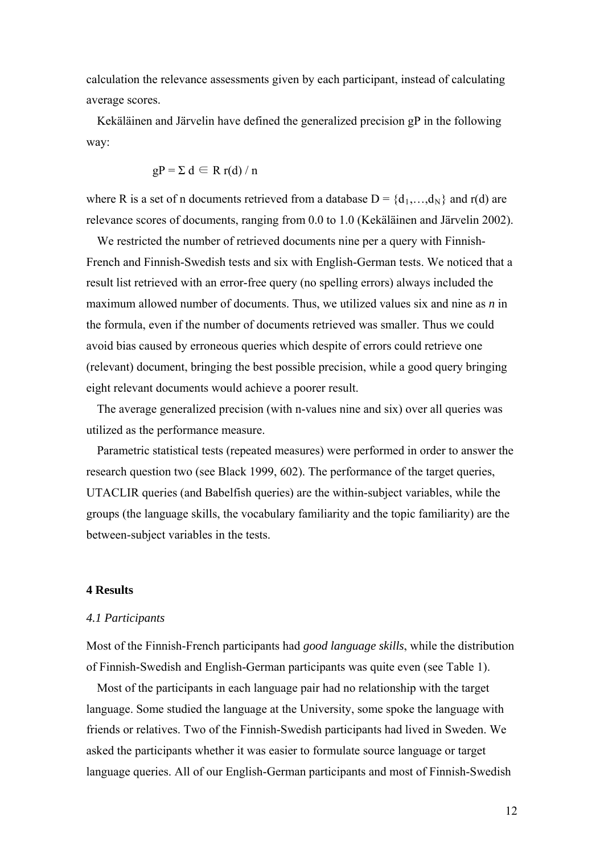calculation the relevance assessments given by each participant, instead of calculating average scores.

Kekäläinen and Järvelin have defined the generalized precision gP in the following way:

$$
gP = \Sigma d \in R r(d) / n
$$

where R is a set of n documents retrieved from a database  $D = \{d_1, \ldots, d_N\}$  and  $r(d)$  are relevance scores of documents, ranging from 0.0 to 1.0 (Kekäläinen and Järvelin 2002).

We restricted the number of retrieved documents nine per a query with Finnish-French and Finnish-Swedish tests and six with English-German tests. We noticed that a result list retrieved with an error-free query (no spelling errors) always included the maximum allowed number of documents. Thus, we utilized values six and nine as *n* in the formula, even if the number of documents retrieved was smaller. Thus we could avoid bias caused by erroneous queries which despite of errors could retrieve one (relevant) document, bringing the best possible precision, while a good query bringing eight relevant documents would achieve a poorer result.

The average generalized precision (with n-values nine and six) over all queries was utilized as the performance measure.

Parametric statistical tests (repeated measures) were performed in order to answer the research question two (see Black 1999, 602). The performance of the target queries, UTACLIR queries (and Babelfish queries) are the within-subject variables, while the groups (the language skills, the vocabulary familiarity and the topic familiarity) are the between-subject variables in the tests.

### **4 Results**

#### *4.1 Participants*

Most of the Finnish-French participants had *good language skills*, while the distribution of Finnish-Swedish and English-German participants was quite even (see Table 1).

Most of the participants in each language pair had no relationship with the target language. Some studied the language at the University, some spoke the language with friends or relatives. Two of the Finnish-Swedish participants had lived in Sweden. We asked the participants whether it was easier to formulate source language or target language queries. All of our English-German participants and most of Finnish-Swedish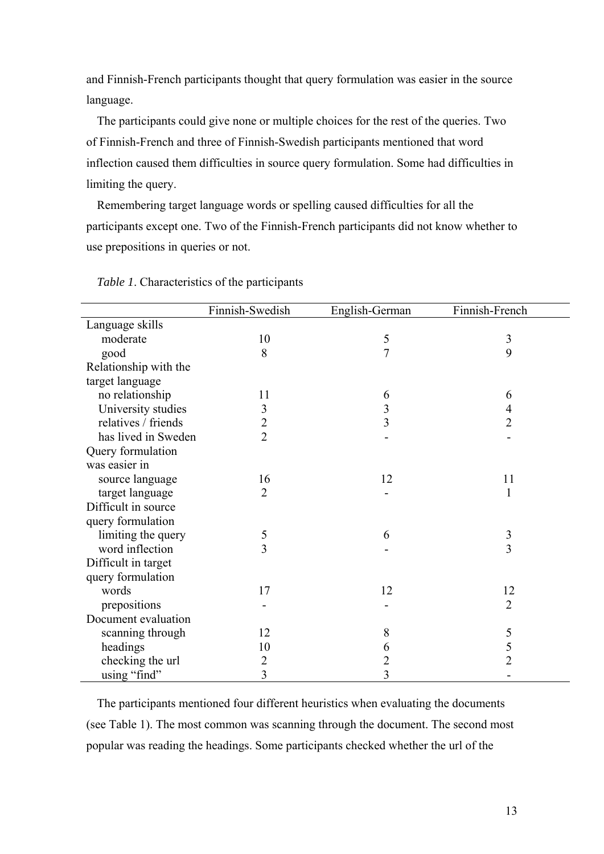and Finnish-French participants thought that query formulation was easier in the source language.

The participants could give none or multiple choices for the rest of the queries. Two of Finnish-French and three of Finnish-Swedish participants mentioned that word inflection caused them difficulties in source query formulation. Some had difficulties in limiting the query.

Remembering target language words or spelling caused difficulties for all the participants except one. Two of the Finnish-French participants did not know whether to use prepositions in queries or not.

|                       | Finnish-Swedish | English-German | Finnish-French |
|-----------------------|-----------------|----------------|----------------|
| Language skills       |                 |                |                |
| moderate              | 10              | 5              | $\mathfrak{Z}$ |
| good                  | 8               | $\overline{7}$ | 9              |
| Relationship with the |                 |                |                |
| target language       |                 |                |                |
| no relationship       | 11              | 6              | 6              |
| University studies    | $\mathfrak{Z}$  | 3              | 4              |
| relatives / friends   | $\frac{2}{2}$   | 3              | 2              |
| has lived in Sweden   |                 |                |                |
| Query formulation     |                 |                |                |
| was easier in         |                 |                |                |
| source language       | 16              | 12             | 11             |
| target language       | $\overline{2}$  |                | 1              |
| Difficult in source   |                 |                |                |
| query formulation     |                 |                |                |
| limiting the query    | 5               | 6              | $\mathfrak{Z}$ |
| word inflection       | 3               |                | $\overline{3}$ |
| Difficult in target   |                 |                |                |
| query formulation     |                 |                |                |
| words                 | 17              | 12             | 12             |
| prepositions          |                 |                | $\overline{2}$ |
| Document evaluation   |                 |                |                |
| scanning through      | 12              | 8              | 5              |
| headings              | 10              | 6              | 5              |
| checking the url      | $\overline{c}$  | $\overline{c}$ | $\overline{2}$ |
| using "find"          | $\overline{3}$  | 3              |                |

*Table 1*. Characteristics of the participants

The participants mentioned four different heuristics when evaluating the documents (see Table 1). The most common was scanning through the document. The second most popular was reading the headings. Some participants checked whether the url of the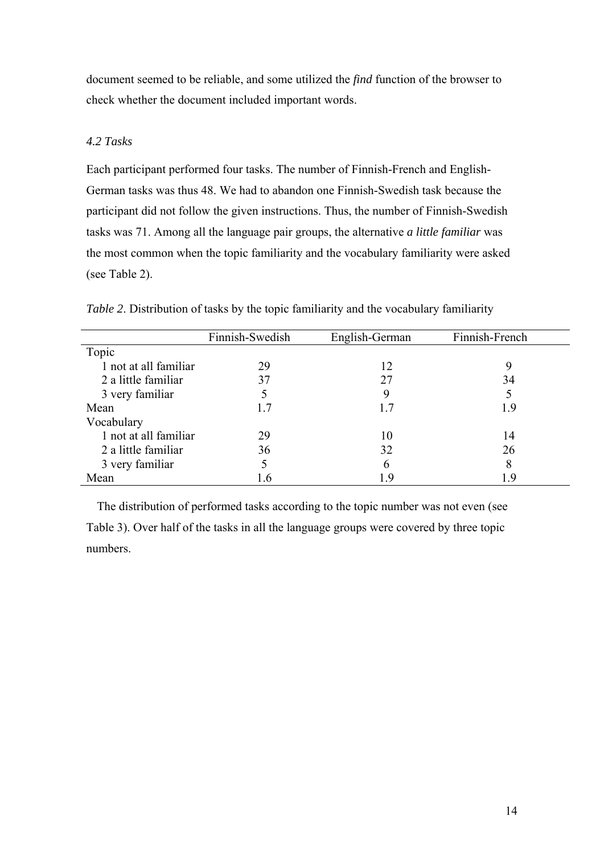document seemed to be reliable, and some utilized the *find* function of the browser to check whether the document included important words.

# *4.2 Tasks*

Each participant performed four tasks. The number of Finnish-French and English-German tasks was thus 48. We had to abandon one Finnish-Swedish task because the participant did not follow the given instructions. Thus, the number of Finnish-Swedish tasks was 71. Among all the language pair groups, the alternative *a little familiar* was the most common when the topic familiarity and the vocabulary familiarity were asked (see Table 2).

|                       | Finnish-Swedish | English-German | Finnish-French |
|-----------------------|-----------------|----------------|----------------|
| Topic                 |                 |                |                |
| 1 not at all familiar | 29              | 12             |                |
| 2 a little familiar   | 37              | 27             | 34             |
| 3 very familiar       |                 | 9              |                |
| Mean                  | 1.7             |                | 1.9            |
| Vocabulary            |                 |                |                |
| 1 not at all familiar | 29              | 10             | 14             |
| 2 a little familiar   | 36              | 32             | 26             |
| 3 very familiar       | 5               | 6              | 8              |
| Mean                  | l.6             | 19             | - 9            |

*Table 2*. Distribution of tasks by the topic familiarity and the vocabulary familiarity

The distribution of performed tasks according to the topic number was not even (see Table 3). Over half of the tasks in all the language groups were covered by three topic numbers.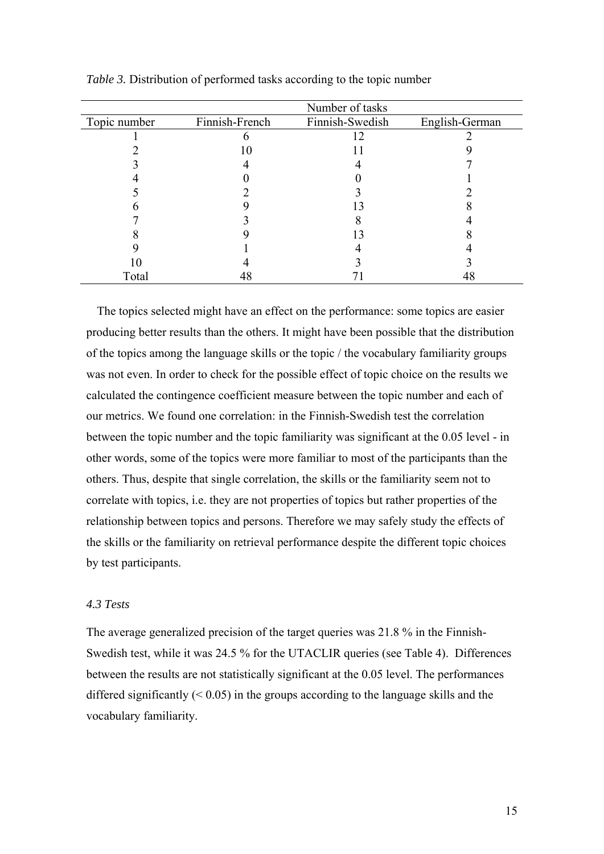|              |                | Number of tasks |                |
|--------------|----------------|-----------------|----------------|
| Topic number | Finnish-French | Finnish-Swedish | English-German |
|              |                |                 |                |
|              |                |                 |                |
|              |                |                 |                |
|              |                |                 |                |
|              |                |                 |                |
|              |                |                 |                |
|              |                |                 |                |
|              |                |                 |                |
|              |                |                 |                |
| 10           |                |                 |                |
| Total        | 48             |                 |                |

*Table 3.* Distribution of performed tasks according to the topic number

The topics selected might have an effect on the performance: some topics are easier producing better results than the others. It might have been possible that the distribution of the topics among the language skills or the topic / the vocabulary familiarity groups was not even. In order to check for the possible effect of topic choice on the results we calculated the contingence coefficient measure between the topic number and each of our metrics. We found one correlation: in the Finnish-Swedish test the correlation between the topic number and the topic familiarity was significant at the 0.05 level - in other words, some of the topics were more familiar to most of the participants than the others. Thus, despite that single correlation, the skills or the familiarity seem not to correlate with topics, i.e. they are not properties of topics but rather properties of the relationship between topics and persons. Therefore we may safely study the effects of the skills or the familiarity on retrieval performance despite the different topic choices by test participants.

## *4.3 Tests*

The average generalized precision of the target queries was 21.8 % in the Finnish-Swedish test, while it was 24.5 % for the UTACLIR queries (see Table 4). Differences between the results are not statistically significant at the 0.05 level. The performances differed significantly  $( $0.05$ ) in the groups according to the language skills and the$ vocabulary familiarity.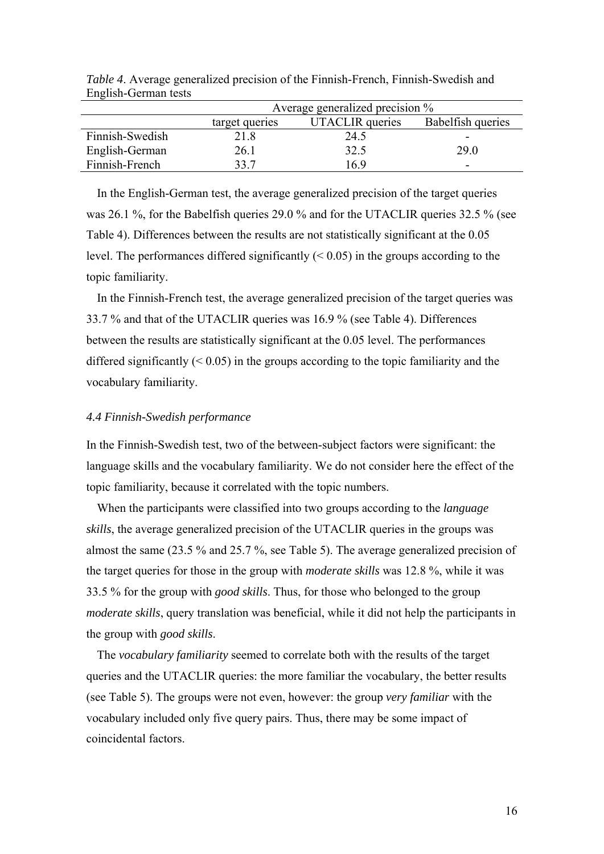|                 | Average generalized precision % |                 |                          |
|-----------------|---------------------------------|-----------------|--------------------------|
|                 | target queries                  | UTACLIR queries | Babelfish queries        |
| Finnish-Swedish | 21.8                            | 24.5            | -                        |
| English-German  | 26.1                            | 32.5            | 29.0                     |
| Finnish-French  |                                 | 69              | $\overline{\phantom{0}}$ |

*Table 4*. Average generalized precision of the Finnish-French, Finnish-Swedish and English-German tests

In the English-German test, the average generalized precision of the target queries was 26.1 %, for the Babelfish queries 29.0 % and for the UTACLIR queries 32.5 % (see Table 4). Differences between the results are not statistically significant at the 0.05 level. The performances differed significantly (< 0.05) in the groups according to the topic familiarity.

In the Finnish-French test, the average generalized precision of the target queries was 33.7 % and that of the UTACLIR queries was 16.9 % (see Table 4). Differences between the results are statistically significant at the 0.05 level. The performances differed significantly  $( $0.05$ ) in the groups according to the topic familiarity and the$ vocabulary familiarity.

#### *4.4 Finnish-Swedish performance*

In the Finnish-Swedish test, two of the between-subject factors were significant: the language skills and the vocabulary familiarity. We do not consider here the effect of the topic familiarity, because it correlated with the topic numbers.

When the participants were classified into two groups according to the *language skills*, the average generalized precision of the UTACLIR queries in the groups was almost the same (23.5 % and 25.7 %, see Table 5). The average generalized precision of the target queries for those in the group with *moderate skills* was 12.8 %, while it was 33.5 % for the group with *good skills*. Thus, for those who belonged to the group *moderate skills*, query translation was beneficial, while it did not help the participants in the group with *good skills*.

The *vocabulary familiarity* seemed to correlate both with the results of the target queries and the UTACLIR queries: the more familiar the vocabulary, the better results (see Table 5). The groups were not even, however: the group *very familiar* with the vocabulary included only five query pairs. Thus, there may be some impact of coincidental factors.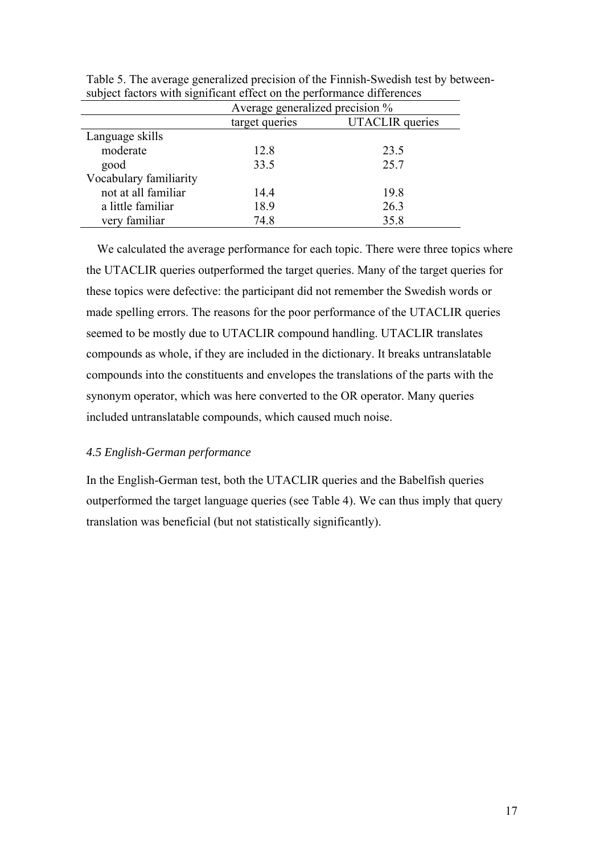| sus per metors with significant error on the performance universites |                                 |                        |  |
|----------------------------------------------------------------------|---------------------------------|------------------------|--|
|                                                                      | Average generalized precision % |                        |  |
|                                                                      | target queries                  | <b>UTACLIR</b> queries |  |
| Language skills                                                      |                                 |                        |  |
| moderate                                                             | 12.8                            | 23.5                   |  |
| good                                                                 | 33.5                            | 25.7                   |  |
| Vocabulary familiarity                                               |                                 |                        |  |
| not at all familiar                                                  | 14.4                            | 19.8                   |  |
| a little familiar                                                    | 18.9                            | 26.3                   |  |
| very familiar                                                        | 74.8                            | 35.8                   |  |

Table 5. The average generalized precision of the Finnish-Swedish test by betweensubject factors with significant effect on the performance differences

We calculated the average performance for each topic. There were three topics where the UTACLIR queries outperformed the target queries. Many of the target queries for these topics were defective: the participant did not remember the Swedish words or made spelling errors. The reasons for the poor performance of the UTACLIR queries seemed to be mostly due to UTACLIR compound handling. UTACLIR translates compounds as whole, if they are included in the dictionary. It breaks untranslatable compounds into the constituents and envelopes the translations of the parts with the synonym operator, which was here converted to the OR operator. Many queries included untranslatable compounds, which caused much noise.

## *4.5 English-German performance*

In the English-German test, both the UTACLIR queries and the Babelfish queries outperformed the target language queries (see Table 4). We can thus imply that query translation was beneficial (but not statistically significantly).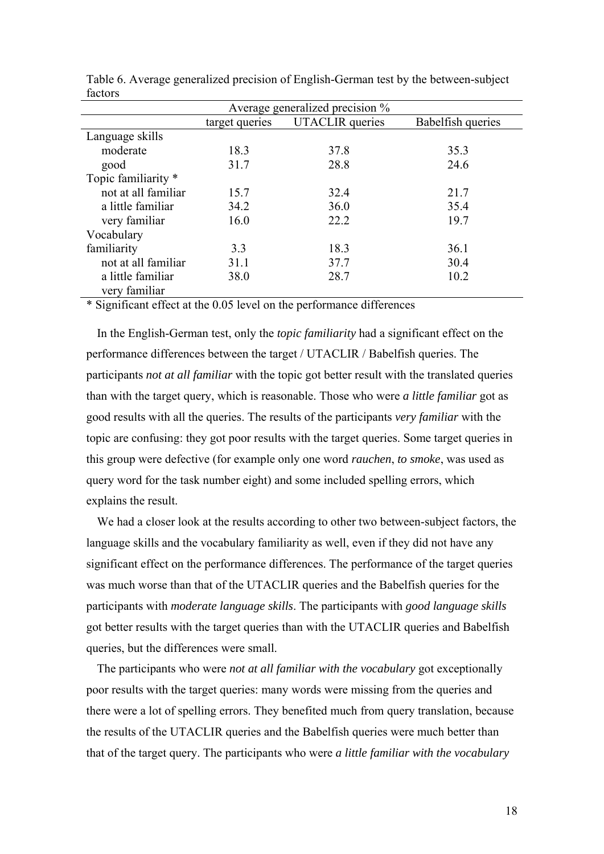| Average generalized precision % |                |                        |                   |
|---------------------------------|----------------|------------------------|-------------------|
|                                 | target queries | <b>UTACLIR</b> queries | Babelfish queries |
| Language skills                 |                |                        |                   |
| moderate                        | 18.3           | 37.8                   | 35.3              |
| good                            | 31.7           | 28.8                   | 24.6              |
| Topic familiarity *             |                |                        |                   |
| not at all familiar             | 15.7           | 32.4                   | 21.7              |
| a little familiar               | 34.2           | 36.0                   | 35.4              |
| very familiar                   | 16.0           | 22.2                   | 19.7              |
| Vocabulary                      |                |                        |                   |
| familiarity                     | 3.3            | 18.3                   | 36.1              |
| not at all familiar             | 31.1           | 37.7                   | 30.4              |
| a little familiar               | 38.0           | 28.7                   | 10.2              |
| very familiar                   |                |                        |                   |

Table 6. Average generalized precision of English-German test by the between-subject factors

\* Significant effect at the 0.05 level on the performance differences

In the English-German test, only the *topic familiarity* had a significant effect on the performance differences between the target / UTACLIR / Babelfish queries. The participants *not at all familiar* with the topic got better result with the translated queries than with the target query, which is reasonable. Those who were *a little familiar* got as good results with all the queries. The results of the participants *very familiar* with the topic are confusing: they got poor results with the target queries. Some target queries in this group were defective (for example only one word *rauchen*, *to smoke*, was used as query word for the task number eight) and some included spelling errors, which explains the result.

We had a closer look at the results according to other two between-subject factors, the language skills and the vocabulary familiarity as well, even if they did not have any significant effect on the performance differences. The performance of the target queries was much worse than that of the UTACLIR queries and the Babelfish queries for the participants with *moderate language skills*. The participants with *good language skills* got better results with the target queries than with the UTACLIR queries and Babelfish queries, but the differences were small.

The participants who were *not at all familiar with the vocabulary* got exceptionally poor results with the target queries: many words were missing from the queries and there were a lot of spelling errors. They benefited much from query translation, because the results of the UTACLIR queries and the Babelfish queries were much better than that of the target query. The participants who were *a little familiar with the vocabulary*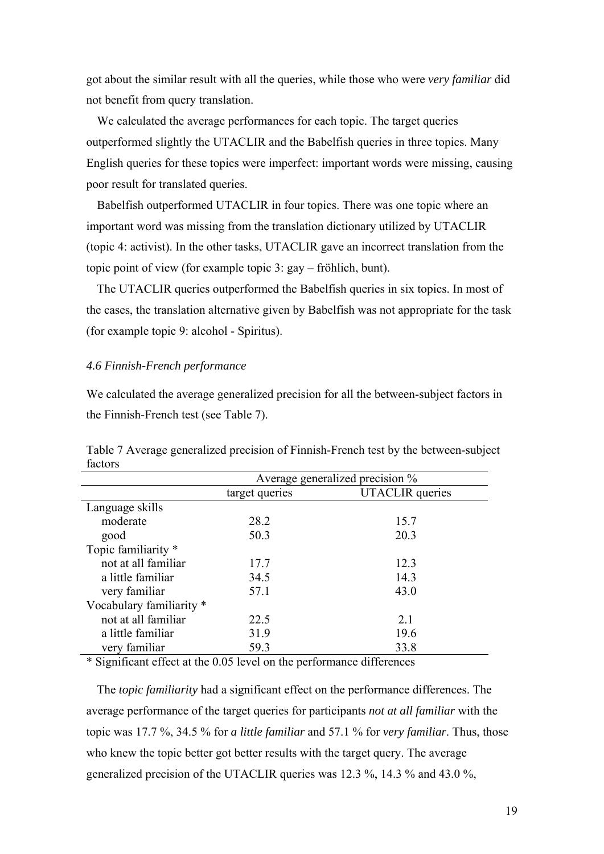got about the similar result with all the queries, while those who were *very familiar* did not benefit from query translation.

We calculated the average performances for each topic. The target queries outperformed slightly the UTACLIR and the Babelfish queries in three topics. Many English queries for these topics were imperfect: important words were missing, causing poor result for translated queries.

Babelfish outperformed UTACLIR in four topics. There was one topic where an important word was missing from the translation dictionary utilized by UTACLIR (topic 4: activist). In the other tasks, UTACLIR gave an incorrect translation from the topic point of view (for example topic 3: gay – fröhlich, bunt).

The UTACLIR queries outperformed the Babelfish queries in six topics. In most of the cases, the translation alternative given by Babelfish was not appropriate for the task (for example topic 9: alcohol - Spiritus).

#### *4.6 Finnish-French performance*

We calculated the average generalized precision for all the between-subject factors in the Finnish-French test (see Table 7).

|                          | Average generalized precision % |                        |  |
|--------------------------|---------------------------------|------------------------|--|
|                          | target queries                  | <b>UTACLIR</b> queries |  |
| Language skills          |                                 |                        |  |
| moderate                 | 28.2                            | 15.7                   |  |
| good                     | 50.3                            | 20.3                   |  |
| Topic familiarity *      |                                 |                        |  |
| not at all familiar      | 17.7                            | 12.3                   |  |
| a little familiar        | 34.5                            | 14.3                   |  |
| very familiar            | 57.1                            | 43.0                   |  |
| Vocabulary familiarity * |                                 |                        |  |
| not at all familiar      | 22.5                            | 2.1                    |  |
| a little familiar        | 31.9                            | 19.6                   |  |
| very familiar            | 59.3                            | 33.8                   |  |

Table 7 Average generalized precision of Finnish-French test by the between-subject factors

\* Significant effect at the 0.05 level on the performance differences

The *topic familiarity* had a significant effect on the performance differences. The average performance of the target queries for participants *not at all familiar* with the topic was 17.7 %, 34.5 % for *a little familiar* and 57.1 % for *very familiar*. Thus, those who knew the topic better got better results with the target query. The average generalized precision of the UTACLIR queries was 12.3 %, 14.3 % and 43.0 %,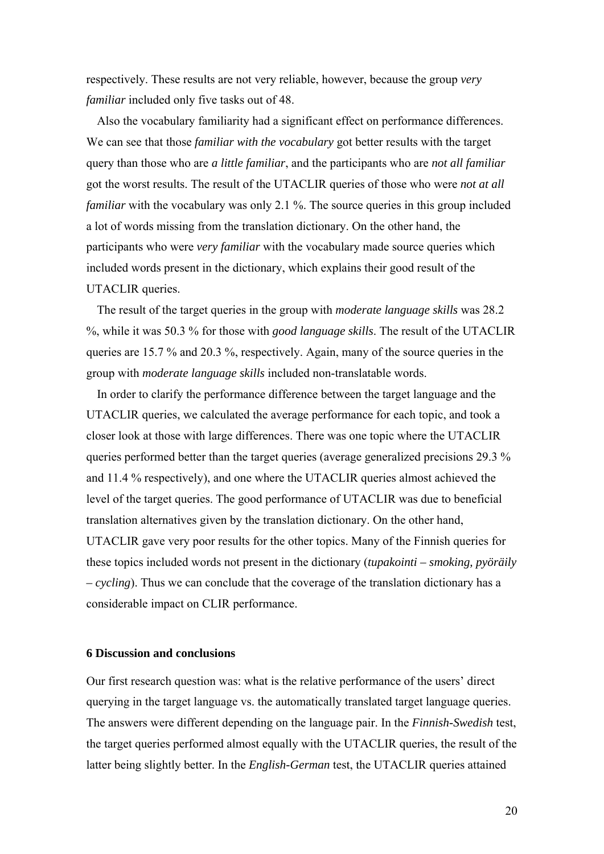respectively. These results are not very reliable, however, because the group *very familiar* included only five tasks out of 48.

Also the vocabulary familiarity had a significant effect on performance differences. We can see that those *familiar with the vocabulary* got better results with the target query than those who are *a little familiar*, and the participants who are *not all familiar* got the worst results. The result of the UTACLIR queries of those who were *not at all familiar* with the vocabulary was only 2.1 %. The source queries in this group included a lot of words missing from the translation dictionary. On the other hand, the participants who were *very familiar* with the vocabulary made source queries which included words present in the dictionary, which explains their good result of the UTACLIR queries.

The result of the target queries in the group with *moderate language skills* was 28.2 %, while it was 50.3 % for those with *good language skills*. The result of the UTACLIR queries are 15.7 % and 20.3 %, respectively. Again, many of the source queries in the group with *moderate language skills* included non-translatable words.

In order to clarify the performance difference between the target language and the UTACLIR queries, we calculated the average performance for each topic, and took a closer look at those with large differences. There was one topic where the UTACLIR queries performed better than the target queries (average generalized precisions 29.3 % and 11.4 % respectively), and one where the UTACLIR queries almost achieved the level of the target queries. The good performance of UTACLIR was due to beneficial translation alternatives given by the translation dictionary. On the other hand, UTACLIR gave very poor results for the other topics. Many of the Finnish queries for these topics included words not present in the dictionary (*tupakointi – smoking, pyöräily – cycling*). Thus we can conclude that the coverage of the translation dictionary has a considerable impact on CLIR performance.

## **6 Discussion and conclusions**

Our first research question was: what is the relative performance of the users' direct querying in the target language vs. the automatically translated target language queries. The answers were different depending on the language pair. In the *Finnish-Swedish* test, the target queries performed almost equally with the UTACLIR queries, the result of the latter being slightly better. In the *English-German* test, the UTACLIR queries attained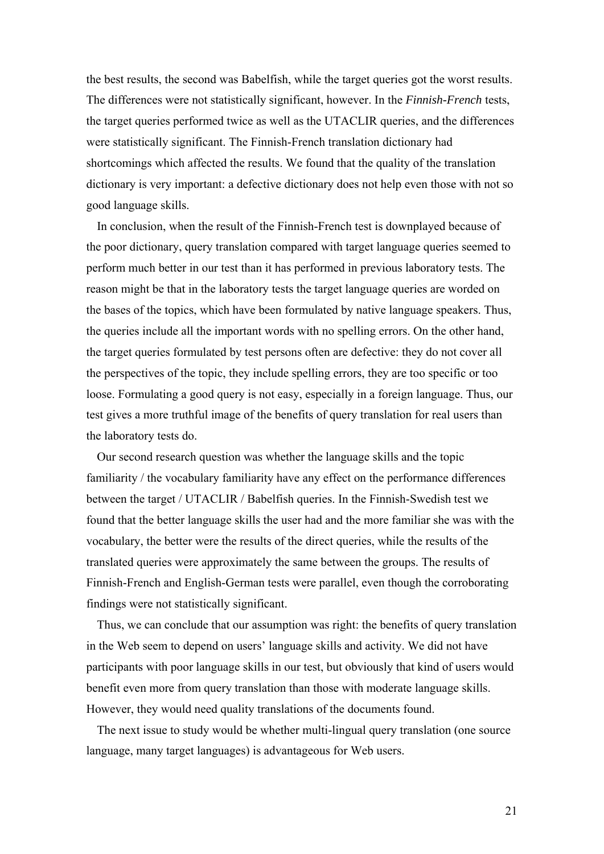the best results, the second was Babelfish, while the target queries got the worst results. The differences were not statistically significant, however. In the *Finnish-French* tests, the target queries performed twice as well as the UTACLIR queries, and the differences were statistically significant. The Finnish-French translation dictionary had shortcomings which affected the results. We found that the quality of the translation dictionary is very important: a defective dictionary does not help even those with not so good language skills.

In conclusion, when the result of the Finnish-French test is downplayed because of the poor dictionary, query translation compared with target language queries seemed to perform much better in our test than it has performed in previous laboratory tests. The reason might be that in the laboratory tests the target language queries are worded on the bases of the topics, which have been formulated by native language speakers. Thus, the queries include all the important words with no spelling errors. On the other hand, the target queries formulated by test persons often are defective: they do not cover all the perspectives of the topic, they include spelling errors, they are too specific or too loose. Formulating a good query is not easy, especially in a foreign language. Thus, our test gives a more truthful image of the benefits of query translation for real users than the laboratory tests do.

Our second research question was whether the language skills and the topic familiarity / the vocabulary familiarity have any effect on the performance differences between the target / UTACLIR / Babelfish queries. In the Finnish-Swedish test we found that the better language skills the user had and the more familiar she was with the vocabulary, the better were the results of the direct queries, while the results of the translated queries were approximately the same between the groups. The results of Finnish-French and English-German tests were parallel, even though the corroborating findings were not statistically significant.

Thus, we can conclude that our assumption was right: the benefits of query translation in the Web seem to depend on users' language skills and activity. We did not have participants with poor language skills in our test, but obviously that kind of users would benefit even more from query translation than those with moderate language skills. However, they would need quality translations of the documents found.

The next issue to study would be whether multi-lingual query translation (one source language, many target languages) is advantageous for Web users.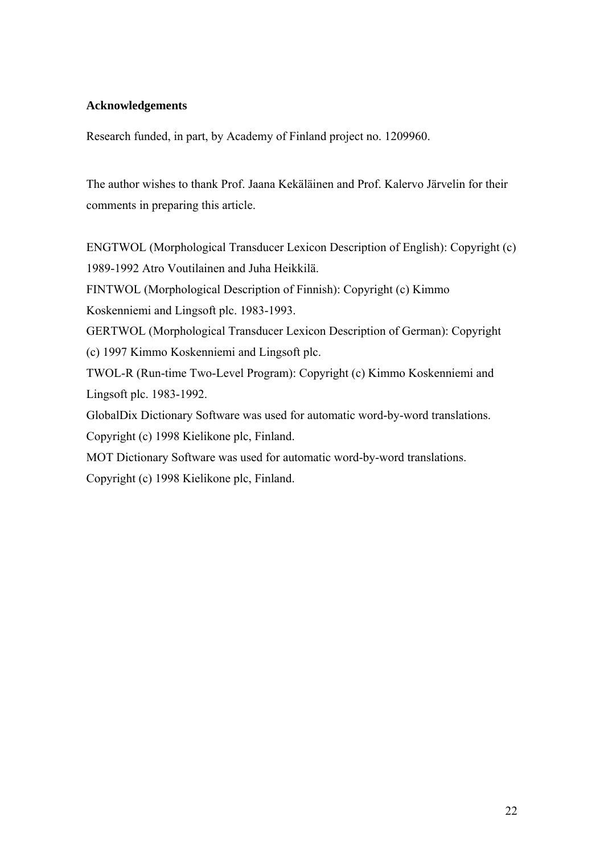# **Acknowledgements**

Research funded, in part, by Academy of Finland project no. 1209960.

The author wishes to thank Prof. Jaana Kekäläinen and Prof. Kalervo Järvelin for their comments in preparing this article.

ENGTWOL (Morphological Transducer Lexicon Description of English): Copyright (c) 1989-1992 Atro Voutilainen and Juha Heikkilä. FINTWOL (Morphological Description of Finnish): Copyright (c) Kimmo Koskenniemi and Lingsoft plc. 1983-1993. GERTWOL (Morphological Transducer Lexicon Description of German): Copyright (c) 1997 Kimmo Koskenniemi and Lingsoft plc. TWOL-R (Run-time Two-Level Program): Copyright (c) Kimmo Koskenniemi and Lingsoft plc. 1983-1992. GlobalDix Dictionary Software was used for automatic word-by-word translations. Copyright (c) 1998 Kielikone plc, Finland. MOT Dictionary Software was used for automatic word-by-word translations. Copyright (c) 1998 Kielikone plc, Finland.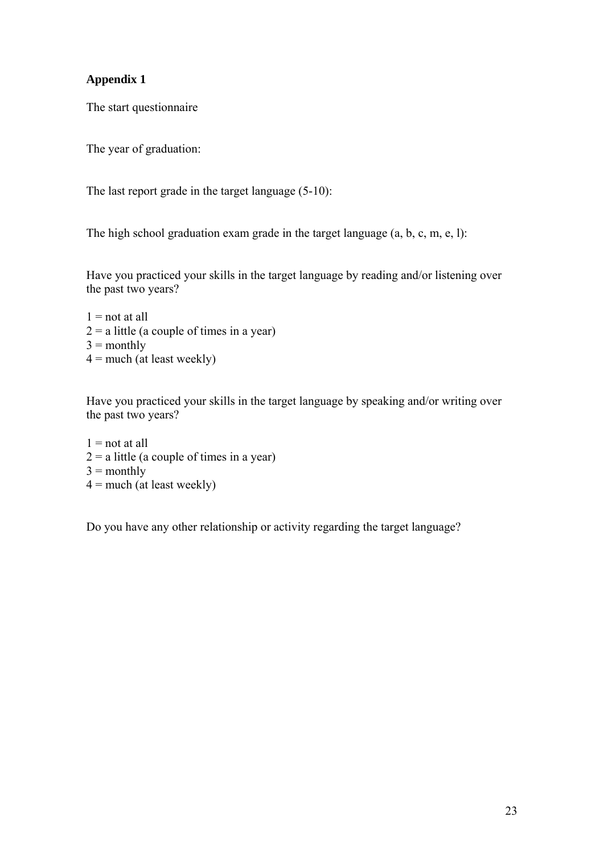# **Appendix 1**

The start questionnaire

The year of graduation:

The last report grade in the target language (5-10):

The high school graduation exam grade in the target language (a, b, c, m, e, l):

Have you practiced your skills in the target language by reading and/or listening over the past two years?

 $1 = \text{not at all}$  $2 = a$  little (a couple of times in a year)  $3 =$  monthly  $4 =$  much (at least weekly)

Have you practiced your skills in the target language by speaking and/or writing over the past two years?

 $1 = not at all$  $2 = a$  little (a couple of times in a year)  $3 =$  monthly  $4 =$  much (at least weekly)

Do you have any other relationship or activity regarding the target language?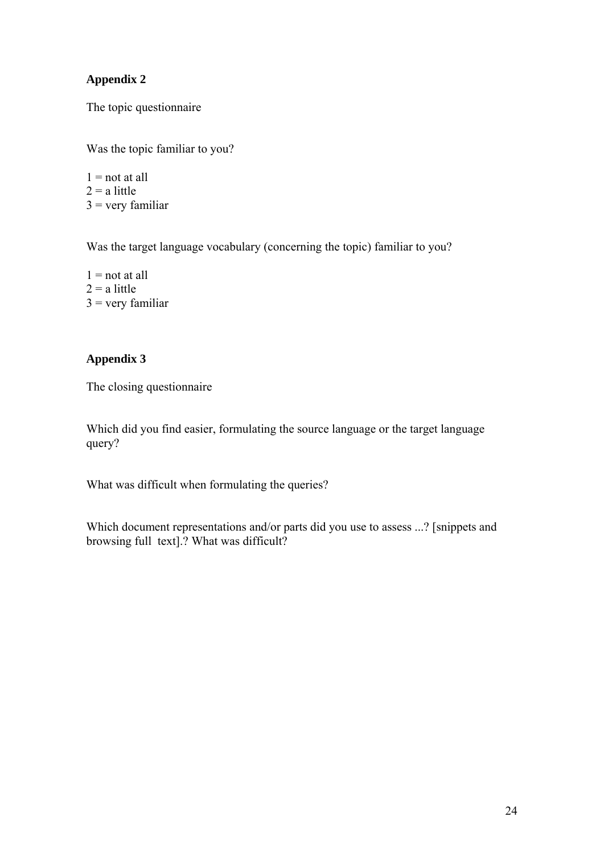# **Appendix 2**

The topic questionnaire

Was the topic familiar to you?

 $1 = not at all$  $2 = a$  little  $3$  = very familiar

Was the target language vocabulary (concerning the topic) familiar to you?

 $1 =$ not at all  $2 = a$  little  $3 =$  very familiar

# **Appendix 3**

The closing questionnaire

Which did you find easier, formulating the source language or the target language query?

What was difficult when formulating the queries?

Which document representations and/or parts did you use to assess ...? [snippets and browsing full text].? What was difficult?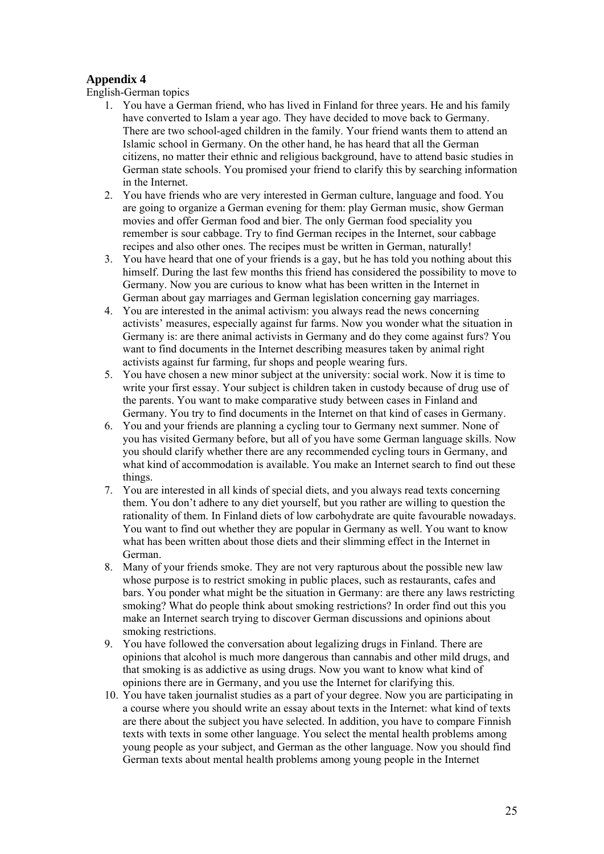# **Appendix 4**

English-German topics

- 1. You have a German friend, who has lived in Finland for three years. He and his family have converted to Islam a year ago. They have decided to move back to Germany. There are two school-aged children in the family. Your friend wants them to attend an Islamic school in Germany. On the other hand, he has heard that all the German citizens, no matter their ethnic and religious background, have to attend basic studies in German state schools. You promised your friend to clarify this by searching information in the Internet.
- 2. You have friends who are very interested in German culture, language and food. You are going to organize a German evening for them: play German music, show German movies and offer German food and bier. The only German food speciality you remember is sour cabbage. Try to find German recipes in the Internet, sour cabbage recipes and also other ones. The recipes must be written in German, naturally!
- 3. You have heard that one of your friends is a gay, but he has told you nothing about this himself. During the last few months this friend has considered the possibility to move to Germany. Now you are curious to know what has been written in the Internet in German about gay marriages and German legislation concerning gay marriages.
- 4. You are interested in the animal activism: you always read the news concerning activists' measures, especially against fur farms. Now you wonder what the situation in Germany is: are there animal activists in Germany and do they come against furs? You want to find documents in the Internet describing measures taken by animal right activists against fur farming, fur shops and people wearing furs.
- 5. You have chosen a new minor subject at the university: social work. Now it is time to write your first essay. Your subject is children taken in custody because of drug use of the parents. You want to make comparative study between cases in Finland and Germany. You try to find documents in the Internet on that kind of cases in Germany.
- 6. You and your friends are planning a cycling tour to Germany next summer. None of you has visited Germany before, but all of you have some German language skills. Now you should clarify whether there are any recommended cycling tours in Germany, and what kind of accommodation is available. You make an Internet search to find out these things.
- 7. You are interested in all kinds of special diets, and you always read texts concerning them. You don't adhere to any diet yourself, but you rather are willing to question the rationality of them. In Finland diets of low carbohydrate are quite favourable nowadays. You want to find out whether they are popular in Germany as well. You want to know what has been written about those diets and their slimming effect in the Internet in German.
- 8. Many of your friends smoke. They are not very rapturous about the possible new law whose purpose is to restrict smoking in public places, such as restaurants, cafes and bars. You ponder what might be the situation in Germany: are there any laws restricting smoking? What do people think about smoking restrictions? In order find out this you make an Internet search trying to discover German discussions and opinions about smoking restrictions.
- 9. You have followed the conversation about legalizing drugs in Finland. There are opinions that alcohol is much more dangerous than cannabis and other mild drugs, and that smoking is as addictive as using drugs. Now you want to know what kind of opinions there are in Germany, and you use the Internet for clarifying this.
- 10. You have taken journalist studies as a part of your degree. Now you are participating in a course where you should write an essay about texts in the Internet: what kind of texts are there about the subject you have selected. In addition, you have to compare Finnish texts with texts in some other language. You select the mental health problems among young people as your subject, and German as the other language. Now you should find German texts about mental health problems among young people in the Internet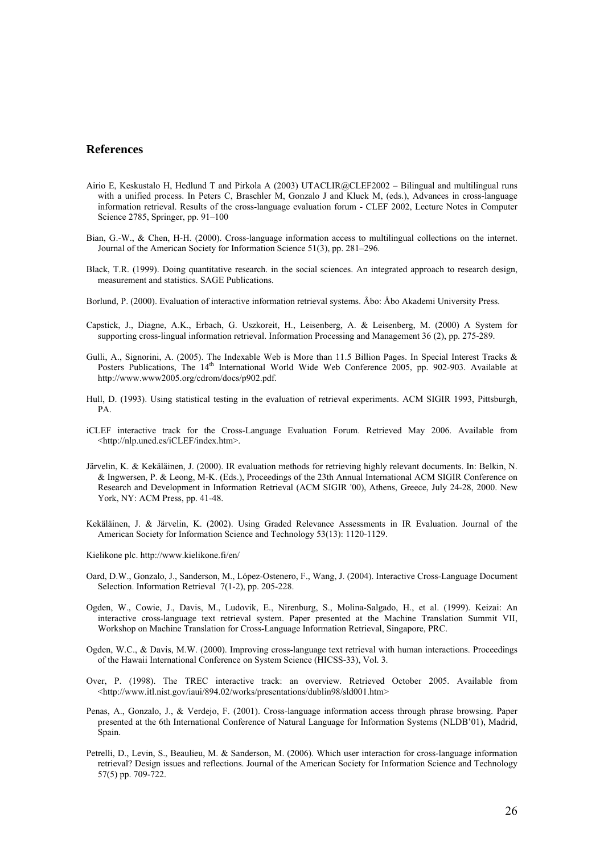#### **References**

- Airio E, Keskustalo H, Hedlund T and Pirkola A (2003) UTACLIR@CLEF2002 Bilingual and multilingual runs with a unified process. In Peters C, Braschler M, Gonzalo J and Kluck M, (eds.), Advances in cross-language information retrieval. Results of the cross-language evaluation forum - CLEF 2002, Lecture Notes in Computer Science 2785, Springer, pp. 91–100
- Bian, G.-W., & Chen, H-H. (2000). Cross-language information access to multilingual collections on the internet. Journal of the American Society for Information Science 51(3), pp. 281–296.
- Black, T.R. (1999). Doing quantitative research. in the social sciences. An integrated approach to research design, measurement and statistics. SAGE Publications.
- Borlund, P. (2000). Evaluation of interactive information retrieval systems. Åbo: Åbo Akademi University Press.
- Capstick, J., Diagne, A.K., Erbach, G. Uszkoreit, H., Leisenberg, A. & Leisenberg, M. (2000) A System for supporting cross-lingual information retrieval. Information Processing and Management 36 (2), pp. 275-289.
- Gulli, A., Signorini, A. (2005). The Indexable Web is More than 11.5 Billion Pages. In Special Interest Tracks & Posters Publications, The 14<sup>th</sup> International World Wide Web Conference 2005, pp. 902-903. Available at http://www.www2005.org/cdrom/docs/p902.pdf.
- Hull, D. (1993). Using statistical testing in the evaluation of retrieval experiments. ACM SIGIR 1993, Pittsburgh, PA.
- iCLEF interactive track for the Cross-Language Evaluation Forum. Retrieved May 2006. Available from <http://nlp.uned.es/iCLEF/index.htm>.
- Järvelin, K. & Kekäläinen, J. (2000). IR evaluation methods for retrieving highly relevant documents. In: Belkin, N. & Ingwersen, P. & Leong, M-K. (Eds.), Proceedings of the 23th Annual International ACM SIGIR Conference on Research and Development in Information Retrieval (ACM SIGIR '00), Athens, Greece, July 24-28, 2000. New York, NY: ACM Press, pp. 41-48.
- Kekäläinen, J. & Järvelin, K. (2002). Using Graded Relevance Assessments in IR Evaluation. Journal of the American Society for Information Science and Technology 53(13): 1120-1129.

Kielikone plc. http://www.kielikone.fi/en/

- Oard, D.W., Gonzalo, J., Sanderson, M., López-Ostenero, F., Wang, J. (2004). Interactive Cross-Language Document Selection. Information Retrieval 7(1-2), pp. 205-228.
- Ogden, W., Cowie, J., Davis, M., Ludovik, E., Nirenburg, S., Molina-Salgado, H., et al. (1999). Keizai: An interactive cross-language text retrieval system. Paper presented at the Machine Translation Summit VII, Workshop on Machine Translation for Cross-Language Information Retrieval, Singapore, PRC.
- Ogden, W.C., & Davis, M.W. (2000). Improving cross-language text retrieval with human interactions. Proceedings of the Hawaii International Conference on System Science (HICSS-33), Vol. 3.
- Over, P. (1998). The TREC interactive track: an overview. Retrieved October 2005. Available from <http://www.itl.nist.gov/iaui/894.02/works/presentations/dublin98/sld001.htm>
- Penas, A., Gonzalo, J., & Verdejo, F. (2001). Cross-language information access through phrase browsing. Paper presented at the 6th International Conference of Natural Language for Information Systems (NLDB'01), Madrid, Spain.
- Petrelli, D., Levin, S., Beaulieu, M. & Sanderson, M. (2006). Which user interaction for cross-language information retrieval? Design issues and reflections. Journal of the American Society for Information Science and Technology 57(5) pp. 709-722.